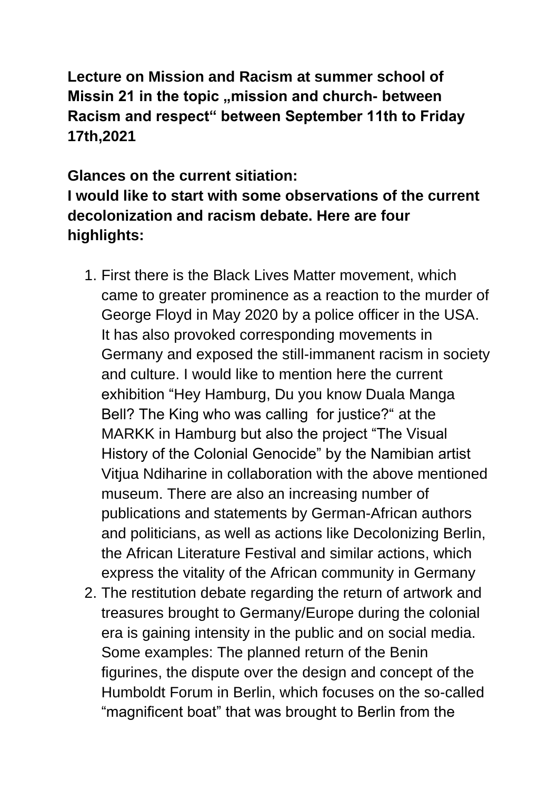**Lecture on Mission and Racism at summer school of Missin 21 in the topic "mission and church- between Racism and respect" between September 11th to Friday 17th,2021**

**Glances on the current sitiation: I would like to start with some observations of the current decolonization and racism debate. Here are four highlights:**

- 1. First there is the Black Lives Matter movement, which came to greater prominence as a reaction to the murder of George Floyd in May 2020 by a police officer in the USA. It has also provoked corresponding movements in Germany and exposed the still-immanent racism in society and culture. I would like to mention here the current exhibition "Hey Hamburg, Du you know Duala Manga Bell? The King who was calling for justice?" at the MARKK in Hamburg but also the project "The Visual History of the Colonial Genocide" by the Namibian artist Vitjua Ndiharine in collaboration with the above mentioned museum. There are also an increasing number of publications and statements by German-African authors and politicians, as well as actions like Decolonizing Berlin, the African Literature Festival and similar actions, which express the vitality of the African community in Germany
- 2. The restitution debate regarding the return of artwork and treasures brought to Germany/Europe during the colonial era is gaining intensity in the public and on social media. Some examples: The planned return of the Benin figurines, the dispute over the design and concept of the Humboldt Forum in Berlin, which focuses on the so-called "magnificent boat" that was brought to Berlin from the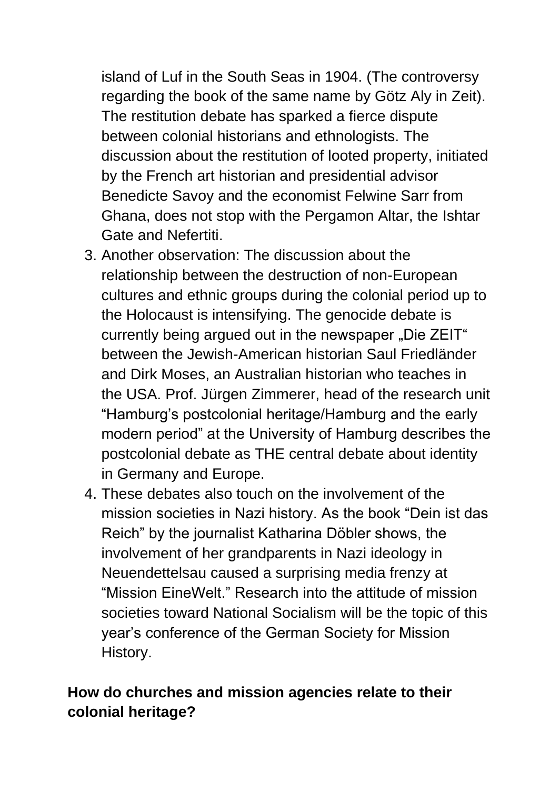island of Luf in the South Seas in 1904. (The controversy regarding the book of the same name by Götz Aly in Zeit). The restitution debate has sparked a fierce dispute between colonial historians and ethnologists. The discussion about the restitution of looted property, initiated by the French art historian and presidential advisor Benedicte Savoy and the economist Felwine Sarr from Ghana, does not stop with the Pergamon Altar, the Ishtar Gate and Nefertiti.

- 3. Another observation: The discussion about the relationship between the destruction of non-European cultures and ethnic groups during the colonial period up to the Holocaust is intensifying. The genocide debate is currently being argued out in the newspaper "Die ZEIT" between the Jewish-American historian Saul Friedländer and Dirk Moses, an Australian historian who teaches in the USA. Prof. Jürgen Zimmerer, head of the research unit "Hamburg's postcolonial heritage/Hamburg and the early modern period" at the University of Hamburg describes the postcolonial debate as THE central debate about identity in Germany and Europe.
- 4. These debates also touch on the involvement of the mission societies in Nazi history. As the book "Dein ist das Reich" by the journalist Katharina Döbler shows, the involvement of her grandparents in Nazi ideology in Neuendettelsau caused a surprising media frenzy at "Mission EineWelt." Research into the attitude of mission societies toward National Socialism will be the topic of this year's conference of the German Society for Mission History.

## **How do churches and mission agencies relate to their colonial heritage?**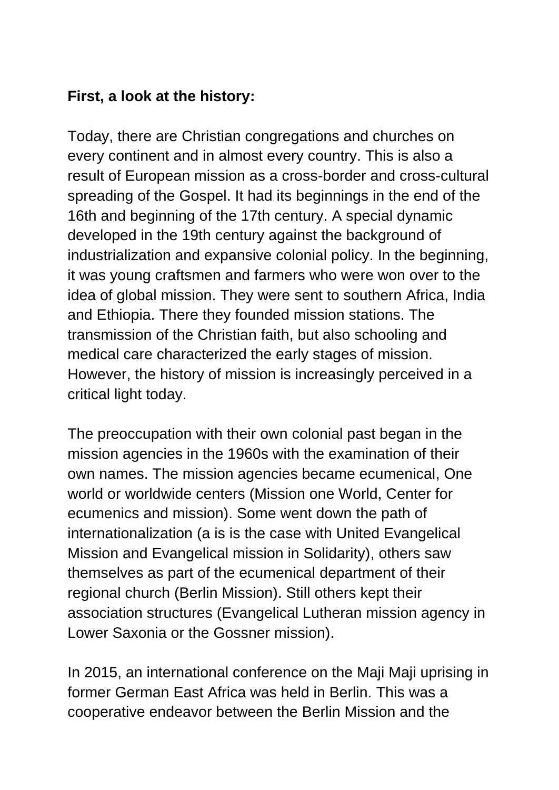## **First, a look at the history:**

Today, there are Christian congregations and churches on every continent and in almost every country. This is also a result of European mission as a cross-border and cross-cultural spreading of the Gospel. It had its beginnings in the end of the 16th and beginning of the 17th century. A special dynamic developed in the 19th century against the background of industrialization and expansive colonial policy. In the beginning, it was young craftsmen and farmers who were won over to the idea of global mission. They were sent to southern Africa, India and Ethiopia. There they founded mission stations. The transmission of the Christian faith, but also schooling and medical care characterized the early stages of mission. However, the history of mission is increasingly perceived in a critical light today.

The preoccupation with their own colonial past began in the mission agencies in the 1960s with the examination of their own names. The mission agencies became ecumenical, One world or worldwide centers (Mission one World, Center for ecumenics and mission). Some went down the path of internationalization (a is is the case with United Evangelical Mission and Evangelical mission in Solidarity), others saw themselves as part of the ecumenical department of their regional church (Berlin Mission). Still others kept their association structures (Evangelical Lutheran mission agency in Lower Saxonia or the Gossner mission).

In 2015, an international conference on the Maji Maji uprising in former German East Africa was held in Berlin. This was a cooperative endeavor between the Berlin Mission and the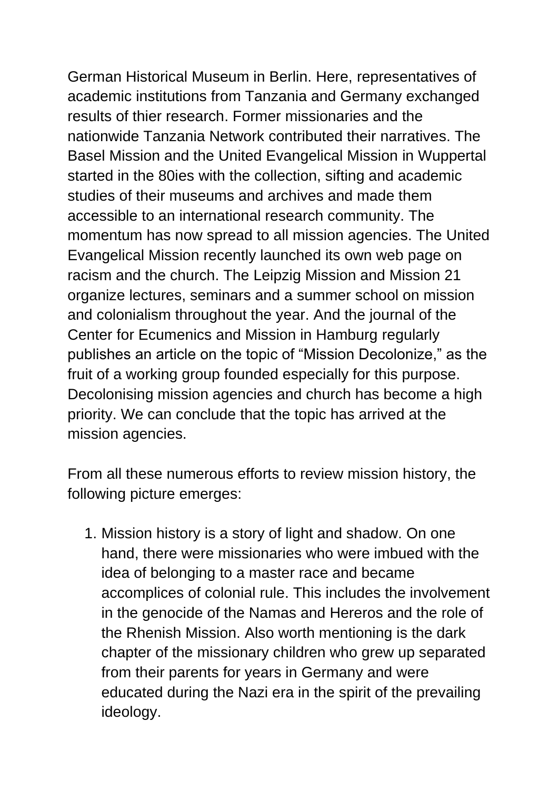German Historical Museum in Berlin. Here, representatives of academic institutions from Tanzania and Germany exchanged results of thier research. Former missionaries and the nationwide Tanzania Network contributed their narratives. The Basel Mission and the United Evangelical Mission in Wuppertal started in the 80ies with the collection, sifting and academic studies of their museums and archives and made them accessible to an international research community. The momentum has now spread to all mission agencies. The United Evangelical Mission recently launched its own web page on racism and the church. The Leipzig Mission and Mission 21 organize lectures, seminars and a summer school on mission and colonialism throughout the year. And the journal of the Center for Ecumenics and Mission in Hamburg regularly publishes an article on the topic of "Mission Decolonize," as the fruit of a working group founded especially for this purpose. Decolonising mission agencies and church has become a high priority. We can conclude that the topic has arrived at the mission agencies.

From all these numerous efforts to review mission history, the following picture emerges:

1. Mission history is a story of light and shadow. On one hand, there were missionaries who were imbued with the idea of belonging to a master race and became accomplices of colonial rule. This includes the involvement in the genocide of the Namas and Hereros and the role of the Rhenish Mission. Also worth mentioning is the dark chapter of the missionary children who grew up separated from their parents for years in Germany and were educated during the Nazi era in the spirit of the prevailing ideology.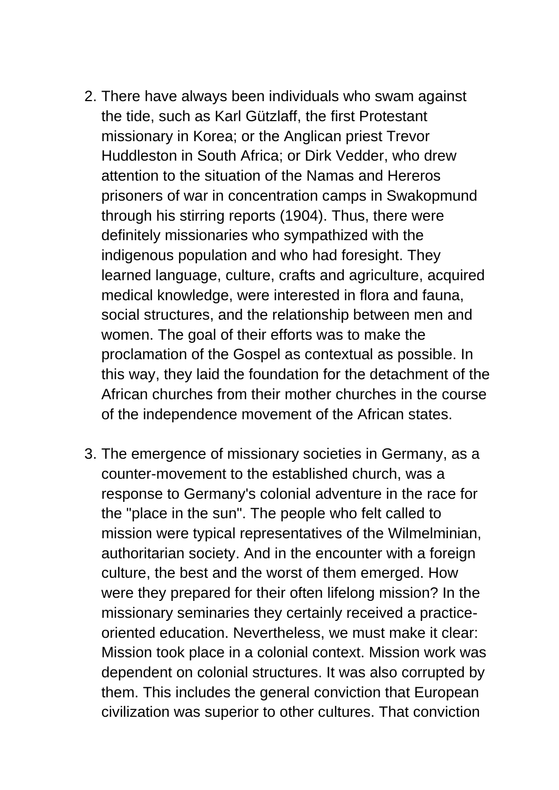- 2. There have always been individuals who swam against the tide, such as Karl Gützlaff, the first Protestant missionary in Korea; or the Anglican priest Trevor Huddleston in South Africa; or Dirk Vedder, who drew attention to the situation of the Namas and Hereros prisoners of war in concentration camps in Swakopmund through his stirring reports (1904). Thus, there were definitely missionaries who sympathized with the indigenous population and who had foresight. They learned language, culture, crafts and agriculture, acquired medical knowledge, were interested in flora and fauna, social structures, and the relationship between men and women. The goal of their efforts was to make the proclamation of the Gospel as contextual as possible. In this way, they laid the foundation for the detachment of the African churches from their mother churches in the course of the independence movement of the African states.
- 3. The emergence of missionary societies in Germany, as a counter-movement to the established church, was a response to Germany's colonial adventure in the race for the "place in the sun". The people who felt called to mission were typical representatives of the Wilmelminian, authoritarian society. And in the encounter with a foreign culture, the best and the worst of them emerged. How were they prepared for their often lifelong mission? In the missionary seminaries they certainly received a practiceoriented education. Nevertheless, we must make it clear: Mission took place in a colonial context. Mission work was dependent on colonial structures. It was also corrupted by them. This includes the general conviction that European civilization was superior to other cultures. That conviction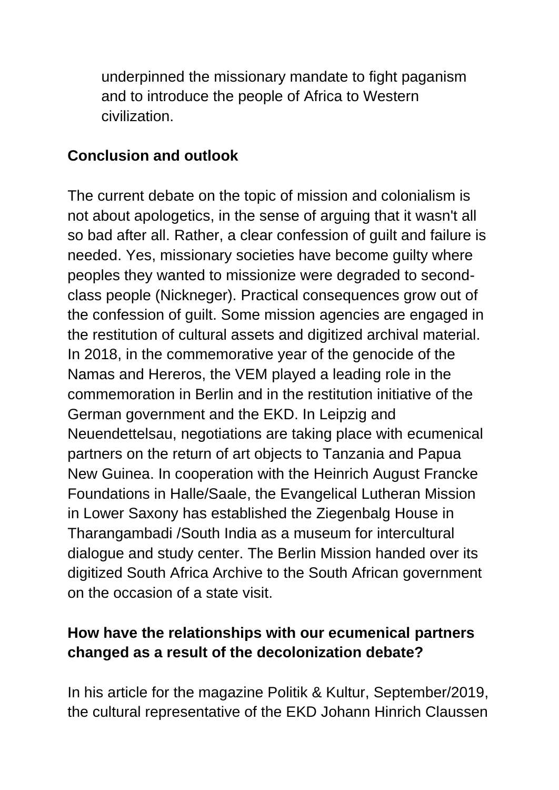underpinned the missionary mandate to fight paganism and to introduce the people of Africa to Western civilization.

## **Conclusion and outlook**

The current debate on the topic of mission and colonialism is not about apologetics, in the sense of arguing that it wasn't all so bad after all. Rather, a clear confession of guilt and failure is needed. Yes, missionary societies have become guilty where peoples they wanted to missionize were degraded to secondclass people (Nickneger). Practical consequences grow out of the confession of guilt. Some mission agencies are engaged in the restitution of cultural assets and digitized archival material. In 2018, in the commemorative year of the genocide of the Namas and Hereros, the VEM played a leading role in the commemoration in Berlin and in the restitution initiative of the German government and the EKD. In Leipzig and Neuendettelsau, negotiations are taking place with ecumenical partners on the return of art objects to Tanzania and Papua New Guinea. In cooperation with the Heinrich August Francke Foundations in Halle/Saale, the Evangelical Lutheran Mission in Lower Saxony has established the Ziegenbalg House in Tharangambadi /South India as a museum for intercultural dialogue and study center. The Berlin Mission handed over its digitized South Africa Archive to the South African government on the occasion of a state visit.

## **How have the relationships with our ecumenical partners changed as a result of the decolonization debate?**

In his article for the magazine Politik & Kultur, September/2019, the cultural representative of the EKD Johann Hinrich Claussen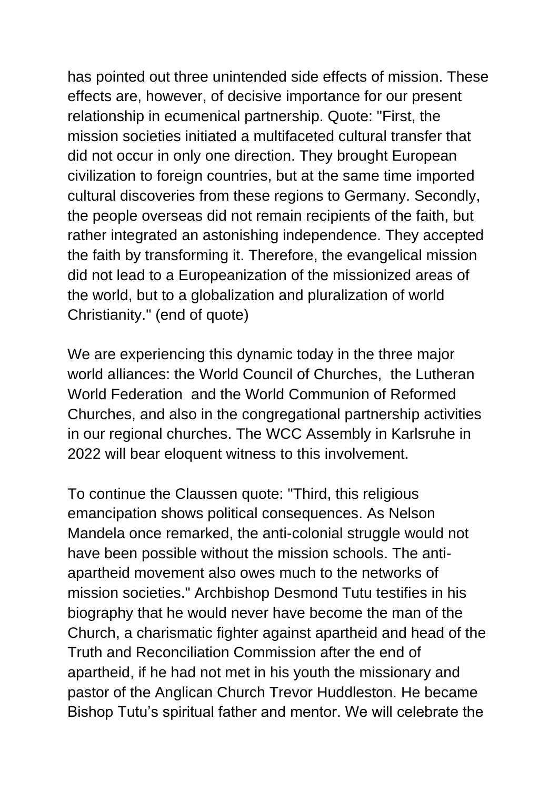has pointed out three unintended side effects of mission. These effects are, however, of decisive importance for our present relationship in ecumenical partnership. Quote: "First, the mission societies initiated a multifaceted cultural transfer that did not occur in only one direction. They brought European civilization to foreign countries, but at the same time imported cultural discoveries from these regions to Germany. Secondly, the people overseas did not remain recipients of the faith, but rather integrated an astonishing independence. They accepted the faith by transforming it. Therefore, the evangelical mission did not lead to a Europeanization of the missionized areas of the world, but to a globalization and pluralization of world Christianity." (end of quote)

We are experiencing this dynamic today in the three major world alliances: the World Council of Churches, the Lutheran World Federation and the World Communion of Reformed Churches, and also in the congregational partnership activities in our regional churches. The WCC Assembly in Karlsruhe in 2022 will bear eloquent witness to this involvement.

To continue the Claussen quote: "Third, this religious emancipation shows political consequences. As Nelson Mandela once remarked, the anti-colonial struggle would not have been possible without the mission schools. The antiapartheid movement also owes much to the networks of mission societies." Archbishop Desmond Tutu testifies in his biography that he would never have become the man of the Church, a charismatic fighter against apartheid and head of the Truth and Reconciliation Commission after the end of apartheid, if he had not met in his youth the missionary and pastor of the Anglican Church Trevor Huddleston. He became Bishop Tutu's spiritual father and mentor. We will celebrate the